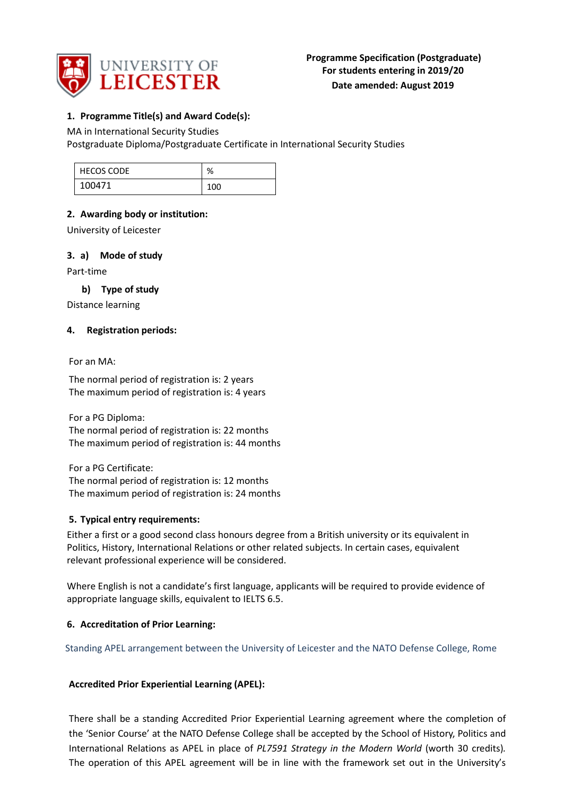

### **1. Programme Title(s) and Award Code(s):**

### MA in International Security Studies

Postgraduate Diploma/Postgraduate Certificate in International Security Studies

| <b>HECOS CODE</b> | $\Omega$<br>70 |
|-------------------|----------------|
| 100471            | 100            |

### **2. Awarding body or institution:**

University of Leicester

### **3. a) Mode of study**

Part-time

### **b) Type of study**

Distance learning

### **4. Registration periods:**

For an MA:

The normal period of registration is: 2 years The maximum period of registration is: 4 years

For a PG Diploma: The normal period of registration is: 22 months The maximum period of registration is: 44 months

For a PG Certificate: The normal period of registration is: 12 months The maximum period of registration is: 24 months

# **5. Typical entry requirements:**

Either a first or a good second class honours degree from a British university or its equivalent in Politics, History, International Relations or other related subjects. In certain cases, equivalent relevant professional experience will be considered.

Where English is not a candidate's first language, applicants will be required to provide evidence of appropriate language skills, equivalent to IELTS 6.5.

### **6. Accreditation of Prior Learning:**

Standing APEL arrangement between the University of Leicester and the NATO Defense College, Rome

### **Accredited Prior Experiential Learning (APEL):**

There shall be a standing Accredited Prior Experiential Learning agreement where the completion of the 'Senior Course' at the NATO Defense College shall be accepted by the School of History, Politics and International Relations as APEL in place of *PL7591 Strategy in the Modern World* (worth 30 credits)*.*  The operation of this APEL agreement will be in line with the framework set out in the University's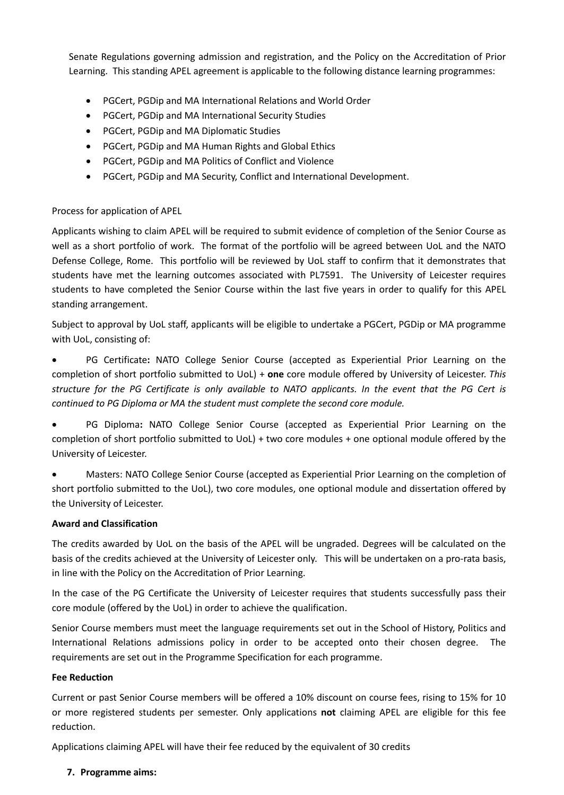Senate Regulations governing admission and registration, and the Policy on the Accreditation of Prior Learning.This standing APEL agreement is applicable to the following distance learning programmes:

- PGCert, PGDip and MA International Relations and World Order
- PGCert, PGDip and MA International Security Studies
- PGCert, PGDip and MA Diplomatic Studies
- PGCert, PGDip and MA Human Rights and Global Ethics
- PGCert, PGDip and MA Politics of Conflict and Violence
- PGCert, PGDip and MA Security, Conflict and International Development.

### Process for application of APEL

Applicants wishing to claim APEL will be required to submit evidence of completion of the Senior Course as well as a short portfolio of work. The format of the portfolio will be agreed between UoL and the NATO Defense College, Rome. This portfolio will be reviewed by UoL staff to confirm that it demonstrates that students have met the learning outcomes associated with PL7591. The University of Leicester requires students to have completed the Senior Course within the last five years in order to qualify for this APEL standing arrangement.

Subject to approval by UoL staff, applicants will be eligible to undertake a PGCert, PGDip or MA programme with UoL, consisting of:

• PG Certificate**:** NATO College Senior Course (accepted as Experiential Prior Learning on the completion of short portfolio submitted to UoL) + **one** core module offered by University of Leicester. *This structure for the PG Certificate is only available to NATO applicants. In the event that the PG Cert is continued to PG Diploma or MA the student must complete the second core module.*

• PG Diploma**:** NATO College Senior Course (accepted as Experiential Prior Learning on the completion of short portfolio submitted to UoL) + two core modules + one optional module offered by the University of Leicester.

• Masters: NATO College Senior Course (accepted as Experiential Prior Learning on the completion of short portfolio submitted to the UoL), two core modules, one optional module and dissertation offered by the University of Leicester.

### **Award and Classification**

The credits awarded by UoL on the basis of the APEL will be ungraded. Degrees will be calculated on the basis of the credits achieved at the University of Leicester only. This will be undertaken on a pro-rata basis, in line with the Policy on the Accreditation of Prior Learning.

In the case of the PG Certificate the University of Leicester requires that students successfully pass their core module (offered by the UoL) in order to achieve the qualification.

Senior Course members must meet the language requirements set out in the School of History, Politics and International Relations admissions policy in order to be accepted onto their chosen degree. The requirements are set out in the Programme Specification for each programme.

### **Fee Reduction**

Current or past Senior Course members will be offered a 10% discount on course fees, rising to 15% for 10 or more registered students per semester. Only applications **not** claiming APEL are eligible for this fee reduction.

Applications claiming APEL will have their fee reduced by the equivalent of 30 credits

### **7. Programme aims:**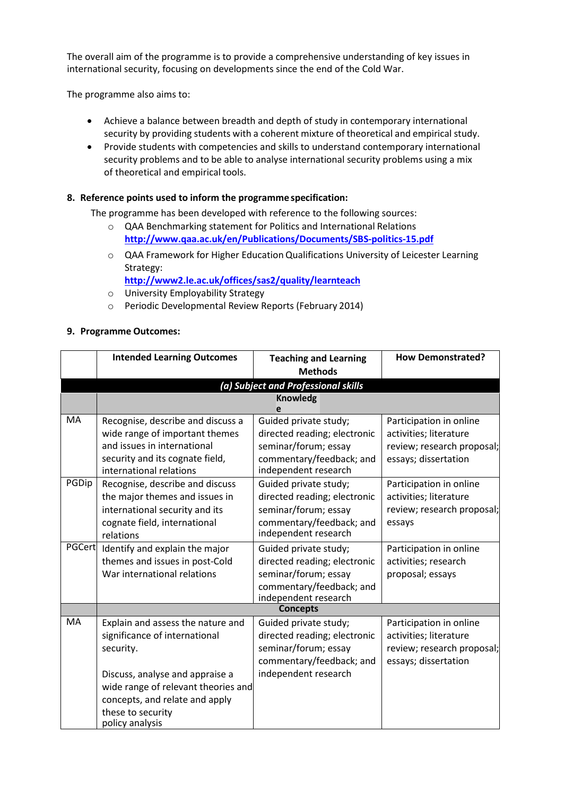The overall aim of the programme is to provide a comprehensive understanding of key issues in international security, focusing on developments since the end of the Cold War.

The programme also aims to:

- Achieve a balance between breadth and depth of study in contemporary international security by providing students with a coherent mixture of theoretical and empirical study.
- Provide students with competencies and skills to understand contemporary international security problems and to be able to analyse international security problems using a mix of theoretical and empirical tools.

### **8. Reference points used to inform the programme specification:**

The programme has been developed with reference to the following sources:

- o QAA Benchmarking statement for Politics and International Relations **<http://www.qaa.ac.uk/en/Publications/Documents/SBS-politics-15.pdf>**
- o QAA Framework for Higher EducationQualifications University of Leicester Learning Strategy:

**<http://www2.le.ac.uk/offices/sas2/quality/learnteach>**

- o University Employability Strategy
- o Periodic Developmental Review Reports (February 2014)

### **9. Programme Outcomes:**

|               | <b>Intended Learning Outcomes</b>    | <b>Teaching and Learning</b><br><b>Methods</b>         | <b>How Demonstrated?</b>   |
|---------------|--------------------------------------|--------------------------------------------------------|----------------------------|
|               |                                      |                                                        |                            |
|               |                                      | (a) Subject and Professional skills<br><b>Knowledg</b> |                            |
|               |                                      |                                                        |                            |
| MA            | Recognise, describe and discuss a    | Guided private study;                                  | Participation in online    |
|               | wide range of important themes       | directed reading; electronic                           | activities; literature     |
|               | and issues in international          | seminar/forum; essay                                   | review; research proposal; |
|               | security and its cognate field,      | commentary/feedback; and                               | essays; dissertation       |
|               | international relations              | independent research                                   |                            |
| PGDip         | Recognise, describe and discuss      | Guided private study;                                  | Participation in online    |
|               | the major themes and issues in       | directed reading; electronic                           | activities; literature     |
|               | international security and its       | seminar/forum; essay                                   | review; research proposal; |
|               | cognate field, international         | commentary/feedback; and                               | essays                     |
|               | relations                            | independent research                                   |                            |
| <b>PGCert</b> | Identify and explain the major       | Guided private study;                                  | Participation in online    |
|               | themes and issues in post-Cold       | directed reading; electronic                           | activities; research       |
|               | War international relations          | seminar/forum; essay                                   | proposal; essays           |
|               |                                      | commentary/feedback; and                               |                            |
|               |                                      | independent research                                   |                            |
|               |                                      | <b>Concepts</b>                                        |                            |
| MA            | Explain and assess the nature and    | Guided private study;                                  | Participation in online    |
|               | significance of international        | directed reading; electronic                           | activities; literature     |
|               | security.                            | seminar/forum; essay                                   | review; research proposal; |
|               |                                      | commentary/feedback; and                               | essays; dissertation       |
|               | Discuss, analyse and appraise a      | independent research                                   |                            |
|               | wide range of relevant theories and  |                                                        |                            |
|               | concepts, and relate and apply       |                                                        |                            |
|               | these to security<br>policy analysis |                                                        |                            |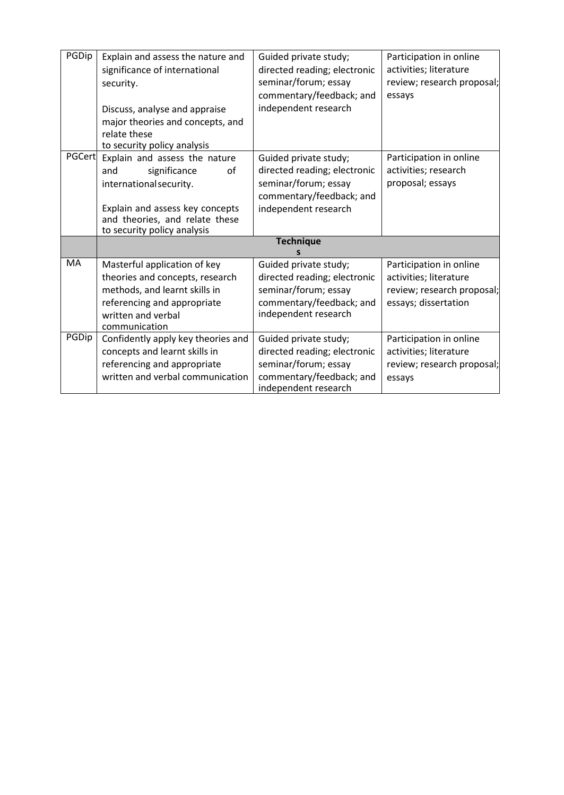| PGDip  | Explain and assess the nature and<br>significance of international<br>security.<br>Discuss, analyse and appraise<br>major theories and concepts, and<br>relate these<br>to security policy analysis | Guided private study;<br>directed reading; electronic<br>seminar/forum; essay<br>commentary/feedback; and<br>independent research | Participation in online<br>activities; literature<br>review; research proposal;<br>essays               |
|--------|-----------------------------------------------------------------------------------------------------------------------------------------------------------------------------------------------------|-----------------------------------------------------------------------------------------------------------------------------------|---------------------------------------------------------------------------------------------------------|
| PGCert | Explain and assess the nature<br>significance<br>οf<br>and<br>international security.<br>Explain and assess key concepts<br>and theories, and relate these<br>to security policy analysis           | Guided private study;<br>directed reading; electronic<br>seminar/forum; essay<br>commentary/feedback; and<br>independent research | Participation in online<br>activities; research<br>proposal; essays                                     |
|        |                                                                                                                                                                                                     | <b>Technique</b>                                                                                                                  |                                                                                                         |
| MA     | Masterful application of key<br>theories and concepts, research<br>methods, and learnt skills in<br>referencing and appropriate<br>written and verbal<br>communication                              | Guided private study;<br>directed reading; electronic<br>seminar/forum; essay<br>commentary/feedback; and<br>independent research | Participation in online<br>activities; literature<br>review; research proposal;<br>essays; dissertation |
| PGDip  | Confidently apply key theories and<br>concepts and learnt skills in<br>referencing and appropriate<br>written and verbal communication                                                              | Guided private study;<br>directed reading; electronic<br>seminar/forum; essay<br>commentary/feedback; and<br>independent research | Participation in online<br>activities; literature<br>review; research proposal;<br>essays               |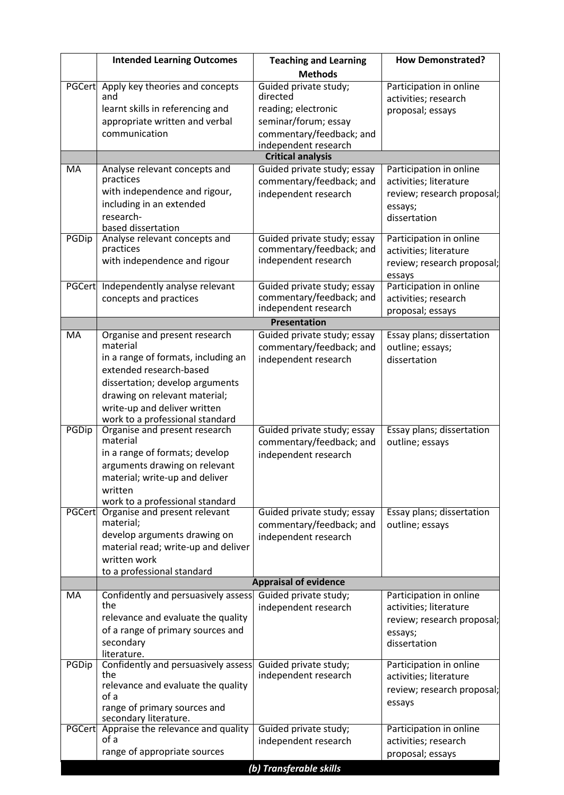|           | <b>Intended Learning Outcomes</b>                                       | <b>Teaching and Learning</b>                          | <b>How Demonstrated?</b>                             |  |  |
|-----------|-------------------------------------------------------------------------|-------------------------------------------------------|------------------------------------------------------|--|--|
|           |                                                                         | <b>Methods</b>                                        |                                                      |  |  |
|           | PGCert Apply key theories and concepts                                  | Guided private study;                                 | Participation in online                              |  |  |
|           | and                                                                     | directed                                              | activities; research                                 |  |  |
|           | learnt skills in referencing and                                        | reading; electronic                                   | proposal; essays                                     |  |  |
|           | appropriate written and verbal<br>communication                         | seminar/forum; essay                                  |                                                      |  |  |
|           |                                                                         | commentary/feedback; and<br>independent research      |                                                      |  |  |
|           |                                                                         | <b>Critical analysis</b>                              |                                                      |  |  |
| MA        | Analyse relevant concepts and                                           | Guided private study; essay                           | Participation in online                              |  |  |
|           | practices                                                               | commentary/feedback; and                              | activities; literature                               |  |  |
|           | with independence and rigour,                                           | independent research                                  | review; research proposal;                           |  |  |
|           | including in an extended                                                |                                                       | essays;                                              |  |  |
|           | research-                                                               |                                                       | dissertation                                         |  |  |
| PGDip     | based dissertation<br>Analyse relevant concepts and                     | Guided private study; essay                           | Participation in online                              |  |  |
|           | practices                                                               | commentary/feedback; and                              | activities; literature                               |  |  |
|           | with independence and rigour                                            | independent research                                  | review; research proposal;                           |  |  |
|           |                                                                         |                                                       | essays                                               |  |  |
| PGCert    | Independently analyse relevant                                          | Guided private study; essay                           | Participation in online                              |  |  |
|           | concepts and practices                                                  | commentary/feedback; and<br>independent research      | activities; research                                 |  |  |
|           |                                                                         |                                                       | proposal; essays                                     |  |  |
| MA        | Organise and present research                                           | <b>Presentation</b><br>Guided private study; essay    | Essay plans; dissertation                            |  |  |
|           | material                                                                | commentary/feedback; and                              | outline; essays;                                     |  |  |
|           | in a range of formats, including an                                     | independent research                                  | dissertation                                         |  |  |
|           | extended research-based                                                 |                                                       |                                                      |  |  |
|           | dissertation; develop arguments                                         |                                                       |                                                      |  |  |
|           | drawing on relevant material;                                           |                                                       |                                                      |  |  |
|           | write-up and deliver written                                            |                                                       |                                                      |  |  |
| PGDip     | work to a professional standard<br>Organise and present research        | Guided private study; essay                           | Essay plans; dissertation                            |  |  |
|           | material                                                                | commentary/feedback; and                              | outline; essays                                      |  |  |
|           | in a range of formats; develop                                          | independent research                                  |                                                      |  |  |
|           | arguments drawing on relevant                                           |                                                       |                                                      |  |  |
|           | material; write-up and deliver                                          |                                                       |                                                      |  |  |
|           | written                                                                 |                                                       |                                                      |  |  |
|           | work to a professional standard<br>PGCert Organise and present relevant | Guided private study; essay                           | Essay plans; dissertation                            |  |  |
|           | material;                                                               | commentary/feedback; and                              | outline; essays                                      |  |  |
|           | develop arguments drawing on                                            | independent research                                  |                                                      |  |  |
|           | material read; write-up and deliver                                     |                                                       |                                                      |  |  |
|           | written work                                                            |                                                       |                                                      |  |  |
|           | to a professional standard                                              |                                                       |                                                      |  |  |
| <b>MA</b> | Confidently and persuasively assess                                     | <b>Appraisal of evidence</b><br>Guided private study; |                                                      |  |  |
|           | the                                                                     | independent research                                  | Participation in online<br>activities; literature    |  |  |
|           | relevance and evaluate the quality                                      |                                                       | review; research proposal;                           |  |  |
|           | of a range of primary sources and                                       |                                                       | essays;                                              |  |  |
|           | secondary                                                               |                                                       | dissertation                                         |  |  |
|           | literature.                                                             |                                                       |                                                      |  |  |
| PGDip     | Confidently and persuasively assess<br>the                              | Guided private study;<br>independent research         | Participation in online                              |  |  |
|           | relevance and evaluate the quality                                      |                                                       | activities; literature<br>review; research proposal; |  |  |
|           | of a                                                                    |                                                       |                                                      |  |  |
|           | range of primary sources and                                            |                                                       | essays                                               |  |  |
|           | secondary literature.<br>PGCert Appraise the relevance and quality      | Guided private study;                                 | Participation in online                              |  |  |
|           | of a                                                                    | independent research                                  | activities; research                                 |  |  |
|           | range of appropriate sources                                            |                                                       | proposal; essays                                     |  |  |
|           |                                                                         | (b) Transferable skills                               |                                                      |  |  |
|           |                                                                         |                                                       |                                                      |  |  |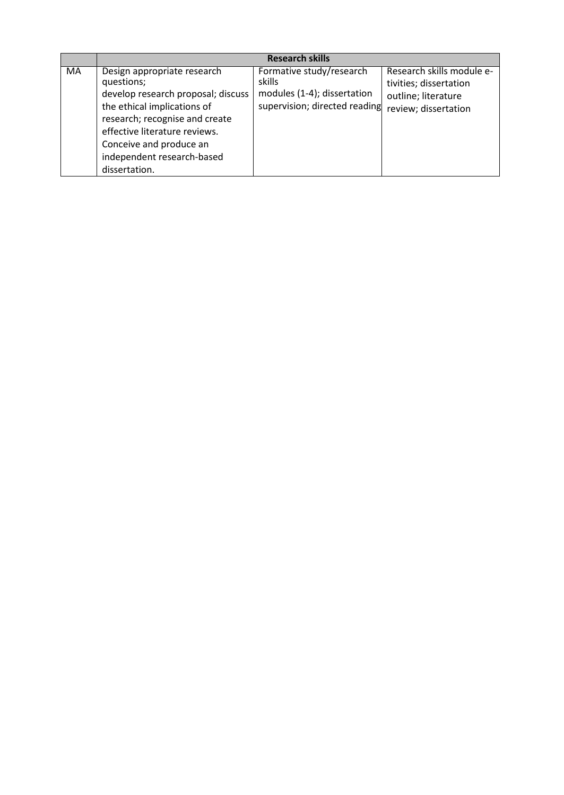|    |                                                                                                                                                                                                                                                             | <b>Research skills</b>                                                                             |                                                                                                    |
|----|-------------------------------------------------------------------------------------------------------------------------------------------------------------------------------------------------------------------------------------------------------------|----------------------------------------------------------------------------------------------------|----------------------------------------------------------------------------------------------------|
| MA | Design appropriate research<br>questions;<br>develop research proposal; discuss<br>the ethical implications of<br>research; recognise and create<br>effective literature reviews.<br>Conceive and produce an<br>independent research-based<br>dissertation. | Formative study/research<br>skills<br>modules (1-4); dissertation<br>supervision; directed reading | Research skills module e-<br>tivities; dissertation<br>outline; literature<br>review; dissertation |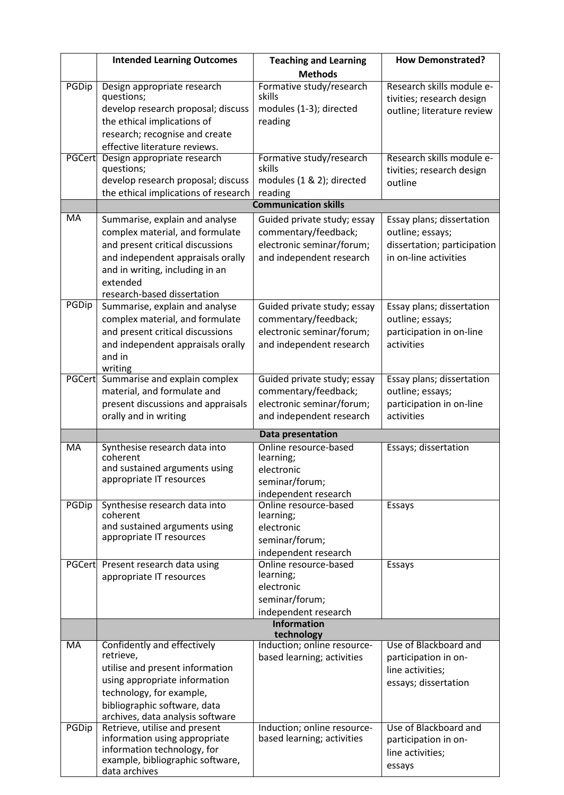|           | <b>Intended Learning Outcomes</b>                                   | <b>Teaching and Learning</b>                        | <b>How Demonstrated?</b>                               |
|-----------|---------------------------------------------------------------------|-----------------------------------------------------|--------------------------------------------------------|
|           |                                                                     | <b>Methods</b>                                      |                                                        |
| PGDip     | Design appropriate research<br>questions;                           | Formative study/research<br>skills                  | Research skills module e-<br>tivities; research design |
|           | develop research proposal; discuss                                  | modules (1-3); directed                             | outline; literature review                             |
|           | the ethical implications of                                         | reading                                             |                                                        |
|           | research; recognise and create                                      |                                                     |                                                        |
|           | effective literature reviews.                                       |                                                     |                                                        |
|           | PGCert Design appropriate research<br>questions;                    | Formative study/research<br>skills                  | Research skills module e-<br>tivities; research design |
|           | develop research proposal; discuss                                  | modules (1 & 2); directed                           | outline                                                |
|           | the ethical implications of research                                | reading<br><b>Communication skills</b>              |                                                        |
| MA        | Summarise, explain and analyse                                      | Guided private study; essay                         | Essay plans; dissertation                              |
|           | complex material, and formulate                                     | commentary/feedback;                                | outline; essays;                                       |
|           | and present critical discussions                                    | electronic seminar/forum;                           | dissertation; participation                            |
|           | and independent appraisals orally                                   | and independent research                            | in on-line activities                                  |
|           | and in writing, including in an                                     |                                                     |                                                        |
|           | extended                                                            |                                                     |                                                        |
|           | research-based dissertation                                         |                                                     |                                                        |
| PGDip     | Summarise, explain and analyse                                      | Guided private study; essay                         | Essay plans; dissertation                              |
|           | complex material, and formulate                                     | commentary/feedback;                                | outline; essays;                                       |
|           | and present critical discussions                                    | electronic seminar/forum;                           | participation in on-line                               |
|           | and independent appraisals orally                                   | and independent research                            | activities                                             |
|           | and in                                                              |                                                     |                                                        |
|           | writing                                                             |                                                     |                                                        |
|           | PGCert Summarise and explain complex<br>material, and formulate and | Guided private study; essay<br>commentary/feedback; | Essay plans; dissertation<br>outline; essays;          |
|           | present discussions and appraisals                                  | electronic seminar/forum;                           | participation in on-line                               |
|           | orally and in writing                                               | and independent research                            | activities                                             |
|           |                                                                     | Data presentation                                   |                                                        |
| <b>MA</b> | Synthesise research data into                                       | Online resource-based                               | Essays; dissertation                                   |
|           | coherent                                                            | learning;                                           |                                                        |
|           | and sustained arguments using                                       | electronic                                          |                                                        |
|           | appropriate IT resources                                            | seminar/forum;                                      |                                                        |
|           | Synthesise research data into                                       | independent research<br>Online resource-based       | Essays                                                 |
| PGDip     | coherent                                                            | learning;                                           |                                                        |
|           | and sustained arguments using                                       | electronic                                          |                                                        |
|           | appropriate IT resources                                            | seminar/forum;                                      |                                                        |
|           |                                                                     | independent research                                |                                                        |
|           | PGCert Present research data using                                  | Online resource-based                               | Essays                                                 |
|           | appropriate IT resources                                            | learning;                                           |                                                        |
|           |                                                                     | electronic                                          |                                                        |
|           |                                                                     | seminar/forum;<br>independent research              |                                                        |
|           |                                                                     | <b>Information</b>                                  |                                                        |
|           |                                                                     | technology                                          |                                                        |
| <b>MA</b> | Confidently and effectively                                         | Induction; online resource-                         | Use of Blackboard and                                  |
|           | retrieve,                                                           | based learning; activities                          | participation in on-                                   |
|           | utilise and present information<br>using appropriate information    |                                                     | line activities;                                       |
|           | technology, for example,                                            |                                                     | essays; dissertation                                   |
|           | bibliographic software, data                                        |                                                     |                                                        |
|           | archives, data analysis software                                    |                                                     |                                                        |
| PGDip     | Retrieve, utilise and present                                       | Induction; online resource-                         | Use of Blackboard and                                  |
|           | information using appropriate                                       | based learning; activities                          | participation in on-                                   |
|           | information technology, for                                         |                                                     | line activities;                                       |
|           | example, bibliographic software,<br>data archives                   |                                                     | essays                                                 |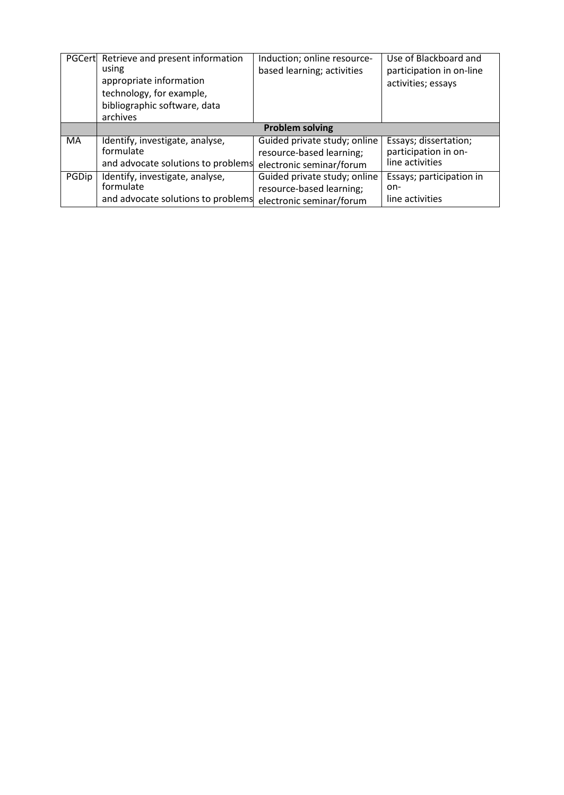|       | PGCert Retrieve and present information<br>using<br>appropriate information<br>technology, for example,<br>bibliographic software, data<br>archives | Induction; online resource-<br>based learning; activities | Use of Blackboard and<br>participation in on-line<br>activities; essays |  |
|-------|-----------------------------------------------------------------------------------------------------------------------------------------------------|-----------------------------------------------------------|-------------------------------------------------------------------------|--|
|       | <b>Problem solving</b>                                                                                                                              |                                                           |                                                                         |  |
| MA    | Identify, investigate, analyse,                                                                                                                     | Guided private study; online                              | Essays; dissertation;                                                   |  |
|       | formulate                                                                                                                                           | resource-based learning;                                  | participation in on-                                                    |  |
|       | and advocate solutions to problems                                                                                                                  | electronic seminar/forum                                  | line activities                                                         |  |
| PGDip | Identify, investigate, analyse,                                                                                                                     | Guided private study; online                              | Essays; participation in                                                |  |
|       | formulate                                                                                                                                           | resource-based learning;                                  | on-                                                                     |  |
|       | and advocate solutions to problems                                                                                                                  | electronic seminar/forum                                  | line activities                                                         |  |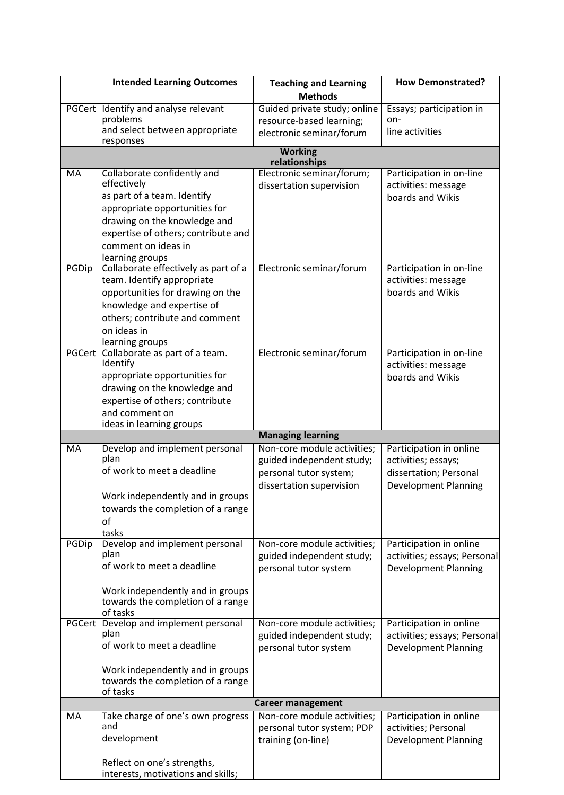|               | <b>Intended Learning Outcomes</b>                       | <b>Teaching and Learning</b>                             | <b>How Demonstrated?</b>                                                                    |
|---------------|---------------------------------------------------------|----------------------------------------------------------|---------------------------------------------------------------------------------------------|
|               |                                                         | <b>Methods</b>                                           |                                                                                             |
| PGCert        | Identify and analyse relevant                           | Guided private study; online                             | Essays; participation in                                                                    |
|               | problems                                                | resource-based learning;                                 | on-                                                                                         |
|               | and select between appropriate<br>responses             | electronic seminar/forum                                 | line activities                                                                             |
|               |                                                         | <b>Working</b><br>relationships                          |                                                                                             |
| MA            | Collaborate confidently and                             | Electronic seminar/forum;                                | Participation in on-line                                                                    |
|               | effectively                                             | dissertation supervision                                 | activities: message                                                                         |
|               | as part of a team. Identify                             |                                                          | boards and Wikis                                                                            |
|               | appropriate opportunities for                           |                                                          |                                                                                             |
|               | drawing on the knowledge and                            |                                                          |                                                                                             |
|               | expertise of others; contribute and                     |                                                          |                                                                                             |
|               | comment on ideas in                                     |                                                          |                                                                                             |
| PGDip         | learning groups<br>Collaborate effectively as part of a | Electronic seminar/forum                                 | Participation in on-line                                                                    |
|               | team. Identify appropriate                              |                                                          | activities: message                                                                         |
|               | opportunities for drawing on the                        |                                                          | boards and Wikis                                                                            |
|               | knowledge and expertise of                              |                                                          |                                                                                             |
|               | others; contribute and comment                          |                                                          |                                                                                             |
|               | on ideas in                                             |                                                          |                                                                                             |
|               | learning groups                                         |                                                          |                                                                                             |
| <b>PGCert</b> | Collaborate as part of a team.<br>Identify              | Electronic seminar/forum                                 | Participation in on-line<br>activities: message                                             |
|               | appropriate opportunities for                           |                                                          | boards and Wikis                                                                            |
|               | drawing on the knowledge and                            |                                                          |                                                                                             |
|               | expertise of others; contribute                         |                                                          |                                                                                             |
|               | and comment on                                          |                                                          |                                                                                             |
|               | ideas in learning groups                                |                                                          |                                                                                             |
| <b>MA</b>     | Develop and implement personal                          | <b>Managing learning</b><br>Non-core module activities;  | Participation in online                                                                     |
|               | plan                                                    | guided independent study;                                | activities; essays;                                                                         |
|               | of work to meet a deadline                              | personal tutor system;                                   | dissertation; Personal                                                                      |
|               |                                                         | dissertation supervision                                 | <b>Development Planning</b>                                                                 |
|               | Work independently and in groups                        |                                                          |                                                                                             |
|               | towards the completion of a range                       |                                                          |                                                                                             |
|               | of                                                      |                                                          |                                                                                             |
| PGDip         | tasks<br>Develop and implement personal                 | Non-core module activities;                              | Participation in online                                                                     |
|               | plan                                                    |                                                          |                                                                                             |
|               |                                                         |                                                          |                                                                                             |
|               | of work to meet a deadline                              | guided independent study;                                |                                                                                             |
|               |                                                         | personal tutor system                                    | <b>Development Planning</b>                                                                 |
|               | Work independently and in groups                        |                                                          |                                                                                             |
|               | towards the completion of a range                       |                                                          |                                                                                             |
|               | of tasks                                                |                                                          |                                                                                             |
|               | PGCert Develop and implement personal<br>plan           | Non-core module activities;<br>guided independent study; | Participation in online                                                                     |
|               | of work to meet a deadline                              | personal tutor system                                    | activities; essays; Personal<br>activities; essays; Personal<br><b>Development Planning</b> |
|               |                                                         |                                                          |                                                                                             |
|               | Work independently and in groups                        |                                                          |                                                                                             |
|               | towards the completion of a range<br>of tasks           |                                                          |                                                                                             |
|               |                                                         | <b>Career management</b>                                 |                                                                                             |
| MA            | Take charge of one's own progress                       | Non-core module activities;                              | Participation in online                                                                     |
|               | and                                                     | personal tutor system; PDP                               | activities; Personal                                                                        |
|               | development                                             | training (on-line)                                       | <b>Development Planning</b>                                                                 |
|               | Reflect on one's strengths,                             |                                                          |                                                                                             |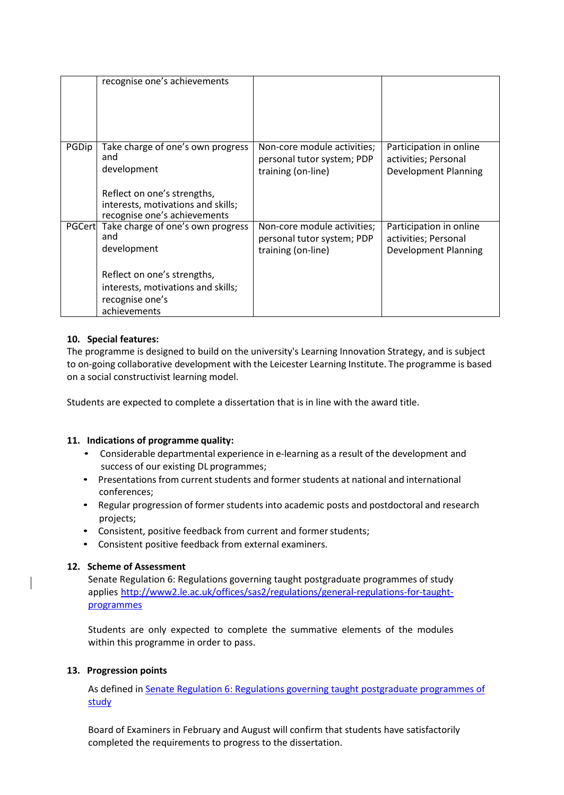|               | recognise one's achievements                                                                      |                             |                         |
|---------------|---------------------------------------------------------------------------------------------------|-----------------------------|-------------------------|
| PGDip         | Take charge of one's own progress<br>and                                                          | Non-core module activities; | Participation in online |
|               |                                                                                                   | personal tutor system; PDP  | activities; Personal    |
|               | development                                                                                       | training (on-line)          | Development Planning    |
|               | Reflect on one's strengths,<br>interests, motivations and skills;<br>recognise one's achievements |                             |                         |
| <b>PGCert</b> | Take charge of one's own progress                                                                 | Non-core module activities; | Participation in online |
|               | and                                                                                               | personal tutor system; PDP  | activities; Personal    |
|               | development                                                                                       | training (on-line)          | Development Planning    |
|               | Reflect on one's strengths,                                                                       |                             |                         |
|               | interests, motivations and skills;                                                                |                             |                         |
|               | recognise one's                                                                                   |                             |                         |
|               | achievements                                                                                      |                             |                         |

# **10. Special features:**

The programme is designed to build on the university's Learning Innovation Strategy, and is subject to on-going collaborative development with the Leicester Learning Institute. The programme is based on a social constructivist learning model.

Students are expected to complete a dissertation that is in line with the award title.

### **11. Indications of programme quality:**

- Considerable departmental experience in e-learning as a result of the development and success of our existing DL programmes;
- Presentations from current students and former students at national and international conferences;
- Regular progression of former students into academic posts and postdoctoral and research projects;
- Consistent, positive feedback from current and former students;
- Consistent positive feedback from external examiners.

### **12. Scheme of Assessment**

Senate Regulation 6: Regulations governing taught postgraduate programmes of study applies [http://www2.le.ac.uk/offices/sas2/regulations/general-regulations-for-taught](http://www2.le.ac.uk/offices/sas2/regulations/general-regulations-for-taught-programmes)[programmes](http://www2.le.ac.uk/offices/sas2/regulations/general-regulations-for-taught-programmes)

Students are only expected to complete the summative elements of the modules within this programme in order to pass.

### **13. Progression points**

As defined in [Senate Regulation 6: Regulations governing taught postgraduate programmes of](http://www2.le.ac.uk/offices/sas2/regulations/general-regulations-for-taught-programmes) [study](http://www2.le.ac.uk/offices/sas2/regulations/general-regulations-for-taught-programmes)

Board of Examiners in February and August will confirm that students have satisfactorily completed the requirements to progress to the dissertation.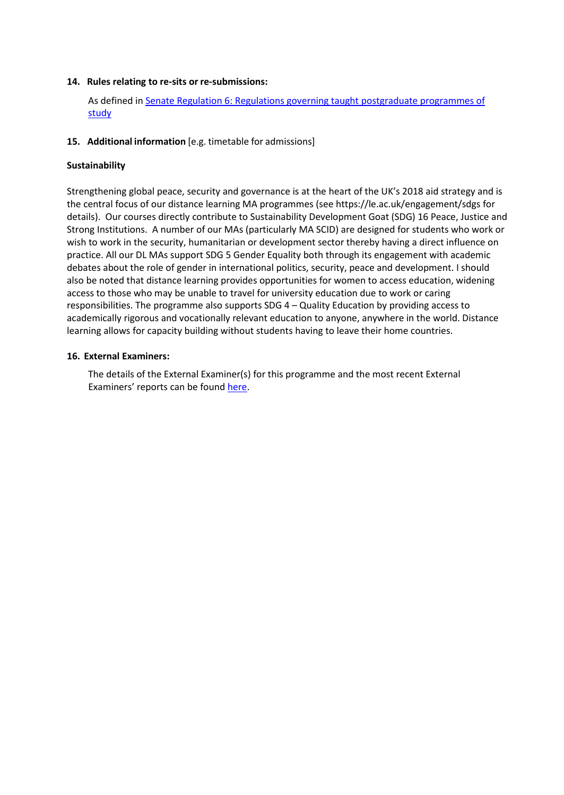### **14. Rules relating to re-sits or re-submissions:**

As defined in [Senate Regulation 6: Regulations governing taught postgraduate programmes of](http://www2.le.ac.uk/offices/sas2/regulations/general-regulations-for-taught-programmes) [study](http://www2.le.ac.uk/offices/sas2/regulations/general-regulations-for-taught-programmes)

### **15. Additional information** [e.g. timetable for admissions]

#### **Sustainability**

Strengthening global peace, security and governance is at the heart of the UK's 2018 aid strategy and is the central focus of our distance learning MA programmes (see https://le.ac.uk/engagement/sdgs for details). Our courses directly contribute to Sustainability Development Goat (SDG) 16 Peace, Justice and Strong Institutions. A number of our MAs (particularly MA SCID) are designed for students who work or wish to work in the security, humanitarian or development sector thereby having a direct influence on practice. All our DL MAs support SDG 5 Gender Equality both through its engagement with academic debates about the role of gender in international politics, security, peace and development. I should also be noted that distance learning provides opportunities for women to access education, widening access to those who may be unable to travel for university education due to work or caring responsibilities. The programme also supports SDG 4 – Quality Education by providing access to academically rigorous and vocationally relevant education to anyone, anywhere in the world. Distance learning allows for capacity building without students having to leave their home countries.

#### **16. External Examiners:**

The details of the External Examiner(s) for this programme and the most recent External Examiners' reports can be found [here.](https://exampapers.le.ac.uk/xmlui/handle/123456789/227)